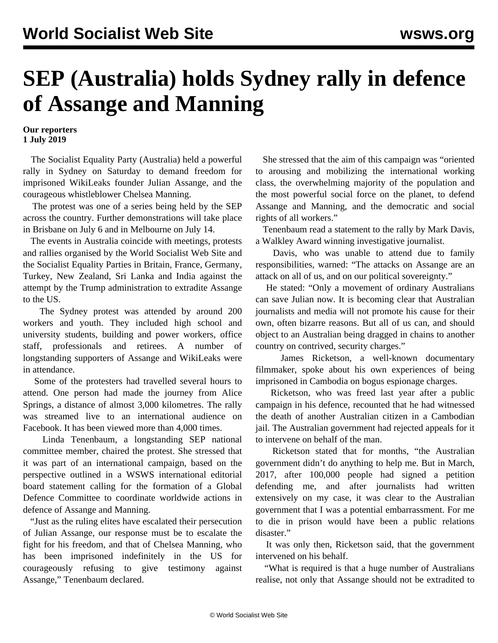## **SEP (Australia) holds Sydney rally in defence of Assange and Manning**

## **Our reporters 1 July 2019**

 The Socialist Equality Party (Australia) held a powerful rally in Sydney on Saturday to demand freedom for imprisoned WikiLeaks founder Julian Assange, and the courageous whistleblower Chelsea Manning.

 The protest was one of a series being held by the SEP across the country. Further demonstrations will take place in Brisbane on July 6 and in Melbourne on July 14.

 The events in Australia coincide with meetings, protests and rallies organised by the World Socialist Web Site and the Socialist Equality Parties in Britain, France, Germany, Turkey, New Zealand, Sri Lanka and India against the attempt by the Trump administration to extradite Assange to the US.

 The Sydney protest was attended by around 200 workers and youth. They included high school and university students, building and power workers, office staff, professionals and retirees. A number of longstanding supporters of Assange and WikiLeaks were in attendance.

 Some of the protesters had travelled several hours to attend. One person had made the journey from Alice Springs, a distance of almost 3,000 kilometres. The rally was streamed live to an international audience on Facebook. It has been viewed more than 4,000 times.

 Linda Tenenbaum, a longstanding SEP national committee member, chaired the protest. She stressed that it was part of an international campaign, based on the perspective outlined in a WSWS international editorial board statement calling for the formation of a Global Defence Committee to coordinate worldwide actions in defence of Assange and Manning.

 "Just as the ruling elites have escalated their persecution of Julian Assange, our response must be to escalate the fight for his freedom, and that of Chelsea Manning, who has been imprisoned indefinitely in the US for courageously refusing to give testimony against Assange," Tenenbaum declared.

 She stressed that the aim of this campaign was "oriented to arousing and mobilizing the international working class, the overwhelming majority of the population and the most powerful social force on the planet, to defend Assange and Manning, and the democratic and social rights of all workers."

 Tenenbaum read a statement to the rally by Mark Davis, a Walkley Award winning investigative journalist.

 Davis, who was unable to attend due to family responsibilities, warned: "The attacks on Assange are an attack on all of us, and on our political sovereignty."

 He stated: "Only a movement of ordinary Australians can save Julian now. It is becoming clear that Australian journalists and media will not promote his cause for their own, often bizarre reasons. But all of us can, and should object to an Australian being dragged in chains to another country on contrived, security charges."

 James Ricketson, a well-known documentary filmmaker, spoke about his own experiences of being imprisoned in Cambodia on bogus espionage charges.

 Ricketson, who was freed last year after a public campaign in his defence, recounted that he had witnessed the death of another Australian citizen in a Cambodian jail. The Australian government had rejected appeals for it to intervene on behalf of the man.

 Ricketson stated that for months, "the Australian government didn't do anything to help me. But in March, 2017, after 100,000 people had signed a petition defending me, and after journalists had written extensively on my case, it was clear to the Australian government that I was a potential embarrassment. For me to die in prison would have been a public relations disaster."

 It was only then, Ricketson said, that the government intervened on his behalf.

 "What is required is that a huge number of Australians realise, not only that Assange should not be extradited to